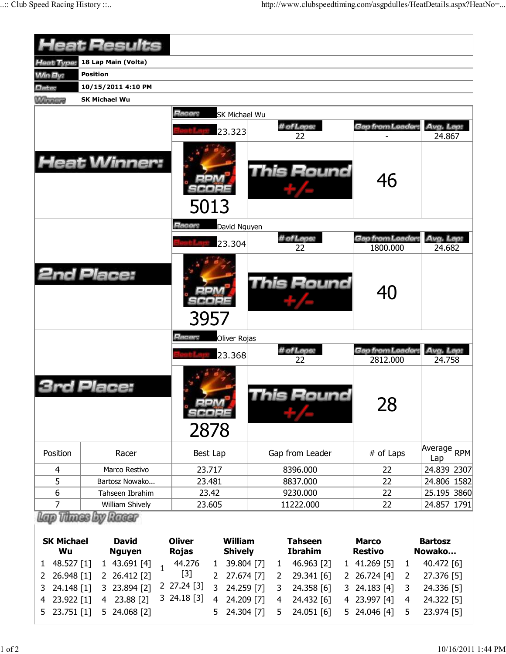|                                                               | <b>Heat Results</b>                                                                               |                                                                                                                                                    |                                                                        |                                                                                     |                                                      |
|---------------------------------------------------------------|---------------------------------------------------------------------------------------------------|----------------------------------------------------------------------------------------------------------------------------------------------------|------------------------------------------------------------------------|-------------------------------------------------------------------------------------|------------------------------------------------------|
| Heat Type:                                                    | 18 Lap Main (Volta)                                                                               |                                                                                                                                                    |                                                                        |                                                                                     |                                                      |
| <b>Win By:</b>                                                | <b>Position</b>                                                                                   |                                                                                                                                                    |                                                                        |                                                                                     |                                                      |
| Date:                                                         | 10/15/2011 4:10 PM                                                                                |                                                                                                                                                    |                                                                        |                                                                                     |                                                      |
| <b>Williams</b>                                               | <b>SK Michael Wu</b>                                                                              |                                                                                                                                                    |                                                                        |                                                                                     |                                                      |
|                                                               |                                                                                                   | Racer:<br><b>SK Michael Wu</b>                                                                                                                     |                                                                        |                                                                                     |                                                      |
|                                                               |                                                                                                   | 23.323                                                                                                                                             | # of Laps:                                                             | Gap from Leader.                                                                    | Avg. Lap:                                            |
|                                                               | <b>Heat Winner:</b>                                                                               | 5013                                                                                                                                               | 22<br>This Round                                                       | 46                                                                                  | 24.867                                               |
|                                                               |                                                                                                   | Racer:<br>David Nguyen                                                                                                                             |                                                                        |                                                                                     |                                                      |
|                                                               |                                                                                                   | 23.304                                                                                                                                             | # of Laps:                                                             | Gap from Leader:                                                                    | Avg. Lap:                                            |
|                                                               |                                                                                                   |                                                                                                                                                    | 22                                                                     | 1800.000                                                                            | 24.682                                               |
|                                                               | <b>2nd Place:</b>                                                                                 | 3957                                                                                                                                               | <b>This Round</b>                                                      | 40                                                                                  |                                                      |
|                                                               |                                                                                                   | Racer:<br>Oliver Rojas                                                                                                                             |                                                                        |                                                                                     |                                                      |
|                                                               |                                                                                                   | 23.368                                                                                                                                             | # of Laps:                                                             | Gap from Leader:                                                                    | Avg. Lap:                                            |
|                                                               | Place:                                                                                            | 2878                                                                                                                                               | 22<br>his Round                                                        | 2812.000<br>28                                                                      | 24.758                                               |
| Position                                                      | Racer                                                                                             | Best Lap                                                                                                                                           | Gap from Leader                                                        | # of Laps                                                                           | Average<br><b>RPM</b><br>Lap                         |
| 4                                                             | Marco Restivo                                                                                     | 23.717                                                                                                                                             | 8396.000                                                               | 22                                                                                  | 24.839 2307                                          |
| 5                                                             | Bartosz Nowako                                                                                    | 23.481                                                                                                                                             | 8837.000                                                               | 22                                                                                  | 24.806 1582                                          |
| 6                                                             | Tahseen Ibrahim                                                                                   | 23.42                                                                                                                                              | 9230.000                                                               | 22                                                                                  | 25.195 3860                                          |
| 7                                                             | William Shively                                                                                   | 23.605                                                                                                                                             | 11222.000                                                              | 22                                                                                  | 24.857 1791                                          |
| <b>SK Michael</b><br>Wu<br>48.527 [1]<br>1<br>26.948 [1]<br>2 | Vitings by Raggr<br><b>David</b><br><b>Nguyen</b><br>1 43.691 [4]<br>$\mathbf{1}$<br>2 26.412 [2] | <b>William</b><br><b>Oliver</b><br><b>Rojas</b><br><b>Shively</b><br>44.276<br>39.804 [7]<br>$\mathbf{1}$<br>$[3]$<br>27.674 [7]<br>$\overline{2}$ | <b>Tahseen</b><br><b>Ibrahim</b><br>46.963 [2]<br>1<br>29.341 [6]<br>2 | <b>Marco</b><br><b>Restivo</b><br>1 41.269 [5]<br>$\mathbf{1}$<br>2 26.724 [4]<br>2 | <b>Bartosz</b><br>Nowako<br>40.472 [6]<br>27.376 [5] |

3 24.148 [1] 3 23.894 [2] 2 27.24 [3] 3 24.259 [7] 3 24.358 [6] 3 24.183 [4] 3 24.336 [5]

4 24.432 [6] 5 24.051 [6]

4 23.997 [4] 5 24.046 [4]

5 24.304 [7]

3 24.18 [3] 4 24.209 [7]

4 24.322 [5] 5 23.974 [5]

4 23.922 [1] 4 23.88 [2] 5 23.751 [1] 5 24.068 [2]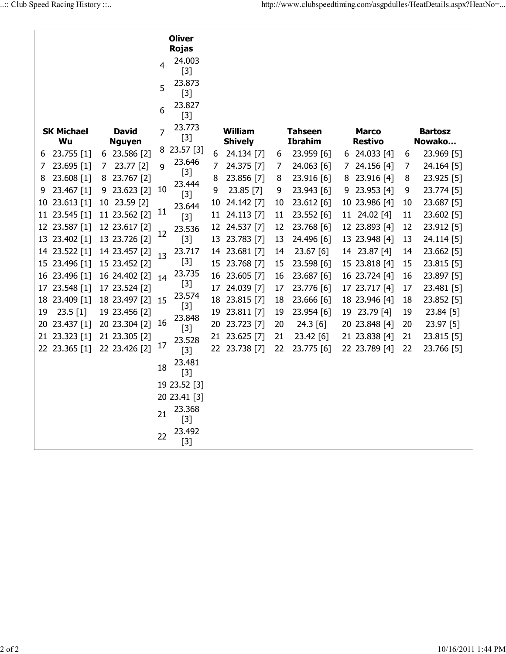|                                   |               |    |                 |                | <b>Oliver</b><br><b>Rojas</b> |                |                |              |                |                |                |    |            |
|-----------------------------------|---------------|----|-----------------|----------------|-------------------------------|----------------|----------------|--------------|----------------|----------------|----------------|----|------------|
|                                   |               |    |                 | 4              | 24.003                        |                |                |              |                |                |                |    |            |
|                                   |               |    |                 |                | $[3]$                         |                |                |              |                |                |                |    |            |
|                                   |               |    |                 | 5              | 23.873<br>$[3]$               |                |                |              |                |                |                |    |            |
|                                   |               |    |                 | 6              | 23.827                        |                |                |              |                |                |                |    |            |
|                                   |               |    |                 |                | $[3]$                         |                |                |              |                |                |                |    |            |
| <b>SK Michael</b><br><b>David</b> |               | 7  | 23.773<br>$[3]$ | <b>William</b> |                               | <b>Tahseen</b> |                | <b>Marco</b> |                | <b>Bartosz</b> |                |    |            |
|                                   | Wu            |    | <b>Nguyen</b>   |                | 23.57 [3]                     |                | <b>Shively</b> |              | <b>Ibrahim</b> |                | <b>Restivo</b> |    | Nowako     |
| 6                                 | 23.755 [1]    |    | 6 23.586 [2]    | 8              | 23.646                        | 6              | 24.134 [7]     | 6            | 23.959 [6]     |                | 6 24.033 [4]   | 6  | 23.969 [5] |
| 7                                 | 23.695 [1]    | 7  | 23.77 [2]       | 9              | $[3]$                         | 7              | 24.375 [7]     | 7            | 24.063 [6]     | 7.             | 24.156 [4]     | 7  | 24.164 [5] |
| 8                                 | 23.608 [1]    | 8  | 23.767 [2]      |                | 23.444                        | 8              | 23.856 [7]     | 8            | 23.916 [6]     | 8              | 23.916 [4]     | 8  | 23.925 [5] |
| 9                                 | 23.467 [1]    | 9. | 23.623 [2]      | 10             | $[3]$                         | 9              | 23.85 [7]      | 9            | 23.943 [6]     | 9              | 23.953 [4]     | 9  | 23.774 [5] |
| 10                                | 23.613 [1]    |    | 10 23.59 [2]    |                | 23.644                        | 10             | 24.142 [7]     | 10           | 23.612 [6]     |                | 10 23.986 [4]  | 10 | 23.687 [5] |
| 11                                | 23.545 [1]    |    | 11 23.562 [2]   | 11             | $[3]$                         | 11             | 24.113 [7]     | 11           | 23.552 [6]     |                | 11 24.02 [4]   | 11 | 23.602 [5] |
|                                   | 12 23.587 [1] |    | 12 23.617 [2]   | 12             | 23.536                        | 12             | 24.537 [7]     | 12           | 23.768 [6]     |                | 12 23.893 [4]  | 12 | 23.912 [5] |
| 13                                | 23.402 [1]    |    | 13 23.726 [2]   |                | $[3]$                         | 13             | 23.783 [7]     | 13           | 24.496 [6]     |                | 13 23.948 [4]  | 13 | 24.114 [5] |
|                                   | 14 23.522 [1] |    | 14 23.457 [2]   | 13             | 23.717                        |                | 14 23.681 [7]  | 14           | 23.67 [6]      |                | 14 23.87 [4]   | 14 | 23.662 [5] |
|                                   | 15 23.496 [1] |    | 15 23.452 [2]   |                | $[3]$                         |                | 15 23.768 [7]  | 15           | 23.598 [6]     |                | 15 23.818 [4]  | 15 | 23.815 [5] |
| 16                                | 23.496 [1]    |    | 16 24.402 [2]   | 14             | 23.735                        | 16             | 23.605 [7]     | 16           | 23.687 [6]     |                | 16 23.724 [4]  | 16 | 23.897 [5] |
| 17                                | 23.548 [1]    |    | 17 23.524 [2]   |                | $[3]$                         | 17             | 24.039 [7]     | 17           | 23.776 [6]     |                | 17 23.717 [4]  | 17 | 23.481 [5] |
| 18                                | 23.409 [1]    |    | 18 23.497 [2]   | 15             | 23.574                        | 18             | 23.815 [7]     | 18           | 23.666 [6]     |                | 18 23.946 [4]  | 18 | 23.852 [5] |
| 19                                | 23.5 [1]      |    | 19 23.456 [2]   |                | $[3]$                         | 19             | 23.811 [7]     | 19           | 23.954 [6]     |                | 19 23.79 [4]   | 19 | 23.84 [5]  |
| 20                                | 23.437 [1]    |    | 20 23.304 [2]   | 16             | 23.848<br>$[3]$               | 20             | 23.723 [7]     | 20           | 24.3 [6]       |                | 20 23.848 [4]  | 20 | 23.97 [5]  |
| 21                                | 23.323 [1]    |    | 21 23.305 [2]   |                | 23.528                        | 21             | 23.625 [7]     | 21           | 23.42 [6]      |                | 21 23.838 [4]  | 21 | 23.815 [5] |
|                                   | 22 23.365 [1] |    | 22 23.426 [2]   | 17             | $[3]$                         |                | 22 23.738 [7]  | 22           | 23.775 [6]     |                | 22 23.789 [4]  | 22 | 23.766 [5] |
|                                   |               |    |                 | 18             | 23.481<br>$[3]$               |                |                |              |                |                |                |    |            |
|                                   |               |    |                 |                | 19 23.52 [3]                  |                |                |              |                |                |                |    |            |
|                                   |               |    |                 |                | 20 23.41 [3]                  |                |                |              |                |                |                |    |            |
|                                   |               |    |                 |                | 23.368                        |                |                |              |                |                |                |    |            |
|                                   |               |    |                 | 21             | $[3]$                         |                |                |              |                |                |                |    |            |
|                                   |               |    |                 | 22             | 23.492                        |                |                |              |                |                |                |    |            |
|                                   |               |    |                 |                | $[3]$                         |                |                |              |                |                |                |    |            |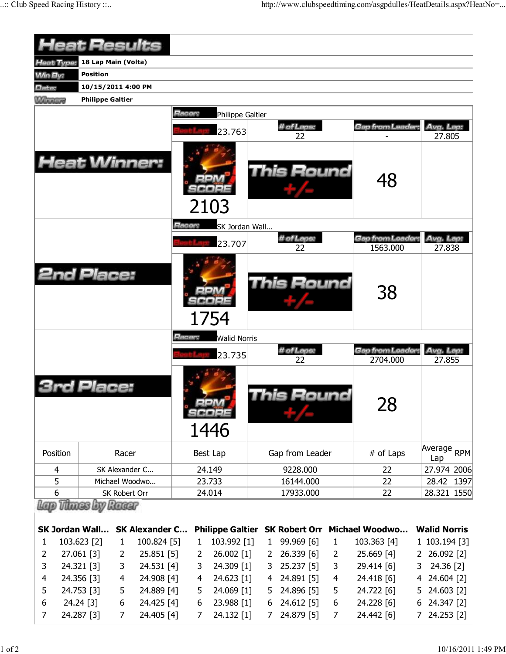|                       | <b>Ieat Results</b>     |                     |                                  |                |                            |                   |                                |                     |                              |        |                          |      |
|-----------------------|-------------------------|---------------------|----------------------------------|----------------|----------------------------|-------------------|--------------------------------|---------------------|------------------------------|--------|--------------------------|------|
| leat Type:            | 18 Lap Main (Volta)     |                     |                                  |                |                            |                   |                                |                     |                              |        |                          |      |
| <b>Min By:</b>        | <b>Position</b>         |                     |                                  |                |                            |                   |                                |                     |                              |        |                          |      |
| Date:                 | 10/15/2011 4:00 PM      |                     |                                  |                |                            |                   |                                |                     |                              |        |                          |      |
| <b>Winnipeg</b>       | <b>Philippe Galtier</b> |                     |                                  |                |                            |                   |                                |                     |                              |        |                          |      |
|                       |                         |                     |                                  | Racer:         | Philippe Galtier<br>23.763 |                   | # of Laps:<br>22               |                     | Gap from Leader.             |        | Avg. Lap:<br>27.805      |      |
| <b>Heat Winner:</b>   |                         |                     |                                  | 2103           |                            | <b>This Round</b> |                                | 48                  |                              |        |                          |      |
|                       |                         |                     |                                  | Racer:         | SK Jordan Wall<br>23.707   |                   | # of Laps:<br>22               |                     | Gap from Leader:<br>1563.000 |        | Avg. Lap:<br>27.838      |      |
| <b>2nd Place:</b>     |                         |                     |                                  |                | 1754                       |                   | This Round                     |                     | 38                           |        |                          |      |
|                       |                         |                     |                                  | Hacer:         | <b>Walid Norris</b>        |                   | # of Laps:                     |                     | Gap from Leader:             |        | Avg. Lap:                |      |
|                       | ace:                    |                     |                                  |                | 23.735                     |                   | 22<br>is Round                 |                     | 2704.000<br>28               |        | 27.855                   |      |
| Position              |                         | Racer               |                                  |                | 1446<br>Best Lap           |                   | Gap from Leader                |                     | # of Laps                    |        | Average                  | RPM  |
|                       |                         |                     |                                  |                |                            |                   |                                |                     |                              |        | Lap                      |      |
| 4<br>5                |                         |                     | SK Alexander C<br>Michael Woodwo |                | 24.149<br>23.733           |                   | 9228.000<br>16144.000          |                     | 22<br>22                     |        | 27.974 2006<br>28.42     | 1397 |
| 6                     |                         | SK Robert Orr       |                                  |                | 24.014                     |                   | 17933.000                      |                     | 22                           |        | 28.321 1550              |      |
|                       | Vitiness Low            | Racer               |                                  |                |                            |                   |                                |                     |                              |        |                          |      |
| <b>SK Jordan Wall</b> |                         |                     | <b>SK Alexander C</b>            |                |                            |                   | Philippe Galtier SK Robert Orr |                     | <b>Michael Woodwo</b>        |        | <b>Walid Norris</b>      |      |
| 1                     | 103.623 [2]             | $\mathbf{1}$        | 100.824 [5]                      | 1              | 103.992 [1]                | $\mathbf{1}$      | 99.969 [6]                     | $\mathbf{1}$        | 103.363 [4]                  |        | 1 103.194 [3]            |      |
| 2                     | 27.061 [3]              | $\overline{2}$      | $25.851$ [5]                     | 2              | 26.002 [1]                 | 2                 | 26.339 [6]                     | $\overline{2}$      | 25.669 [4]                   |        | 2 26.092 [2]             |      |
| 3                     | 24.321 [3]              | 3                   | 24.531 [4]                       | 3              | 24.309 [1]                 | 3                 | 25.237 [5]                     | 3                   | 29.414 [6]                   | 3      | 24.36 [2]                |      |
| $\overline{4}$        | 24.356 [3]              | 4                   | 24.908 [4]                       | $\overline{4}$ | 24.623 [1]                 | 4                 | 24.891 [5]                     | $\overline{4}$      | 24.418 [6]                   | 4      | 24.604 [2]               |      |
| 5                     | 24.753 [3]              | 5                   | 24.889 [4]                       | 5              | 24.069 [1]                 | 5                 | 24.896 [5]                     | 5                   | 24.722 [6]                   | 5      | 24.603 [2]               |      |
| 6<br>7                | 24.24 [3]<br>24.287 [3] | 6<br>$\overline{7}$ | 24.425 [4]<br>24.405 [4]         | 6<br>7         | 23.988 [1]<br>24.132 [1]   | 6<br>7            | 24.612 [5]<br>24.879 [5]       | 6<br>$\overline{7}$ | 24.228 [6]<br>24.442 [6]     | 6<br>7 | 24.347 [2]<br>24.253 [2] |      |